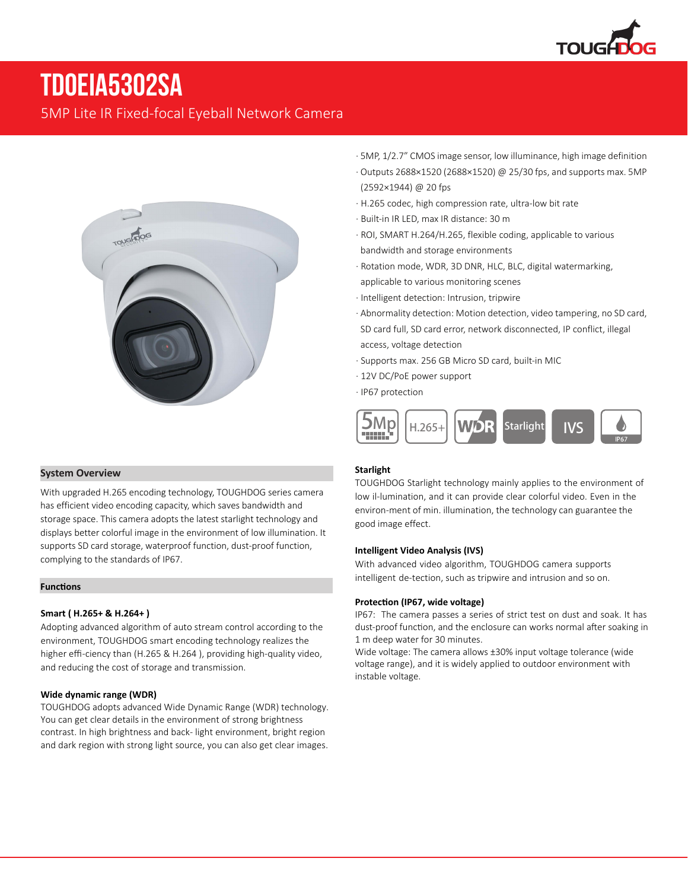

# **TDOEIA5302SA**

5MP Lite IR Fixed-focal Eyeball Network Camera



- · 5MP, 1/2.7" CMOS image sensor, low illuminance, high image definition
- · Outputs 2688×1520 (2688×1520) @ 25/30 fps, and supports max. 5MP (2592×1944) @ 20 fps
- · H.265 codec, high compression rate, ultra-low bit rate
- · Built-in IR LED, max IR distance: 30 m
- · ROI, SMART H.264/H.265, flexible coding, applicable to various bandwidth and storage environments
- · Rotation mode, WDR, 3D DNR, HLC, BLC, digital watermarking, applicable to various monitoring scenes
- · Intelligent detection: Intrusion, tripwire
- · Abnormality detection: Motion detection, video tampering, no SD card, SD card full, SD card error, network disconnected, IP conflict, illegal access, voltage detection
- · Supports max. 256 GB Micro SD card, built-in MIC
- · 12V DC/PoE power support
- · IP67 protection



### **Starlight**

TOUGHDOG Starlight technology mainly applies to the environment of low il-lumination, and it can provide clear colorful video. Even in the environ-ment of min. illumination, the technology can guarantee the good image effect.

#### **Intelligent Video Analysis (IVS)**

With advanced video algorithm, TOUGHDOG camera supports intelligent de-tection, such as tripwire and intrusion and so on.

#### **Protection (IP67, wide voltage)**

IP67: The camera passes a series of strict test on dust and soak. It has dust-proof function, and the enclosure can works normal after soaking in 1 m deep water for 30 minutes.

Wide voltage: The camera allows ±30% input voltage tolerance (wide voltage range), and it is widely applied to outdoor environment with instable voltage.

#### **System Overview**

With upgraded H.265 encoding technology, TOUGHDOG series camera has efficient video encoding capacity, which saves bandwidth and storage space. This camera adopts the latest starlight technology and displays better colorful image in the environment of low illumination. It supports SD card storage, waterproof function, dust-proof function, complying to the standards of IP67.

#### **Functions**

#### **Smart ( H.265+ & H.264+ )**

Adopting advanced algorithm of auto stream control according to the environment, TOUGHDOG smart encoding technology realizes the higher effi-ciency than (H.265 & H.264 ), providing high-quality video, and reducing the cost of storage and transmission.

#### **Wide dynamic range (WDR)**

TOUGHDOG adopts advanced Wide Dynamic Range (WDR) technology. You can get clear details in the environment of strong brightness contrast. In high brightness and back- light environment, bright region and dark region with strong light source, you can also get clear images.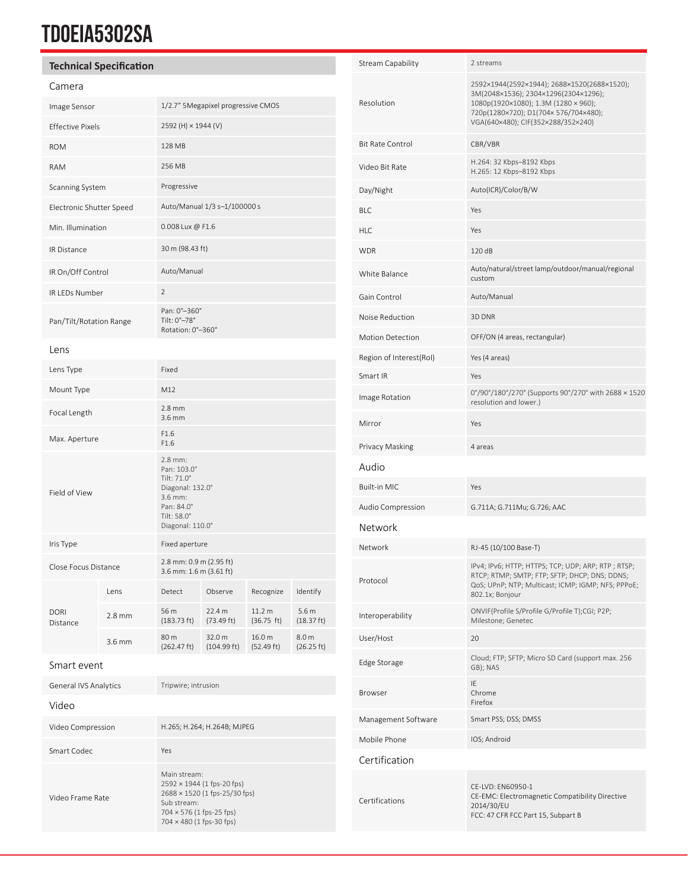## **TDOEIA5302SA**

## **Technical Specification**

## Camera

| Callield                 |          |                                                                                                                       |                       |                      |                                |
|--------------------------|----------|-----------------------------------------------------------------------------------------------------------------------|-----------------------|----------------------|--------------------------------|
| Image Sensor             |          | 1/2.7" 5Megapixel progressive CMOS                                                                                    |                       |                      |                                |
| <b>Effective Pixels</b>  |          | 2592 (H) × 1944 (V)                                                                                                   |                       |                      |                                |
| <b>ROM</b>               |          | 128 MB                                                                                                                |                       |                      |                                |
| <b>RAM</b>               |          | 256 MB                                                                                                                |                       |                      |                                |
| Scanning System          |          | Progressive                                                                                                           |                       |                      |                                |
| Electronic Shutter Speed |          | Auto/Manual 1/3 s-1/100000 s                                                                                          |                       |                      |                                |
| Min. Illumination        |          | 0.008 Lux @ F1.6                                                                                                      |                       |                      |                                |
| <b>IR Distance</b>       |          | 30 m (98.43 ft)                                                                                                       |                       |                      |                                |
| IR On/Off Control        |          | Auto/Manual                                                                                                           |                       |                      |                                |
| IR LEDs Number           |          | $\overline{2}$                                                                                                        |                       |                      |                                |
| Pan/Tilt/Rotation Range  |          | Pan: 0°-360°<br>Tilt: 0°-78°<br>Rotation: 0°-360°                                                                     |                       |                      |                                |
| Lens                     |          |                                                                                                                       |                       |                      |                                |
| Lens Type                |          | Fixed                                                                                                                 |                       |                      |                                |
| Mount Type               |          | M12                                                                                                                   |                       |                      |                                |
| Focal Length             |          | $2.8$ mm<br>$3.6$ mm                                                                                                  |                       |                      |                                |
| Max. Aperture            |          | F1.6<br>F1.6                                                                                                          |                       |                      |                                |
| Field of View            |          | 2.8 mm:<br>Pan: 103.0°<br>Tilt: 71.0°<br>Diagonal: 132.0°<br>3.6 mm:<br>Pan: 84.0°<br>Tilt: 58.0°<br>Diagonal: 110.0° |                       |                      |                                |
| Iris Type                |          | Fixed aperture                                                                                                        |                       |                      |                                |
| Close Focus Distance     |          | 2.8 mm: 0.9 m (2.95 ft)<br>3.6 mm: 1.6 m (3.61 ft)                                                                    |                       |                      |                                |
| <b>DORI</b><br>Distance  | Lens     | Detect                                                                                                                | Observe               | Recognize            | Identify                       |
|                          | $2.8$ mm | 56 m<br>$(183.73 \text{ ft})$                                                                                         | 22.4 m<br>(73.49 ft)  | 11.2 m<br>(36.75 ft) | 5.6 <sub>m</sub><br>(18.37 ft) |
|                          | 3.6 mm   | 80 m<br>(262.47 ft)                                                                                                   | 32.0 m<br>(104.99 ft) | 16.0 m<br>(52.49 ft) | 8.0 <sub>m</sub><br>(26.25 ft) |
|                          |          |                                                                                                                       |                       |                      |                                |

#### Smart event

| <b>General IVS Analytics</b> | Tripwire; intrusion                                                                                                                                       |  |  |
|------------------------------|-----------------------------------------------------------------------------------------------------------------------------------------------------------|--|--|
| Video                        |                                                                                                                                                           |  |  |
| Video Compression            | H.265; H.264; H.264B; MJPEG                                                                                                                               |  |  |
| Smart Codec                  | Yes                                                                                                                                                       |  |  |
| Video Frame Rate             | Main stream:<br>$2592 \times 1944$ (1 fps-20 fps)<br>2688 × 1520 (1 fps-25/30 fps)<br>Sub stream:<br>704 × 576 (1 fps-25 fps)<br>704 × 480 (1 fps-30 fps) |  |  |

| Stream Capability       | 2 streams                                                                                                                                                                                                 |  |  |
|-------------------------|-----------------------------------------------------------------------------------------------------------------------------------------------------------------------------------------------------------|--|--|
| Resolution              | 2592×1944(2592×1944); 2688×1520(2688×1520);<br>3M(2048×1536); 2304×1296(2304×1296);<br>1080p(1920×1080); 1.3M (1280 × 960);<br>720p(1280×720); D1(704×576/704×480);<br>VGA(640×480); CIF(352×288/352×240) |  |  |
| <b>Bit Rate Control</b> | CBR/VBR                                                                                                                                                                                                   |  |  |
| Video Bit Rate          | H.264: 32 Kbps-8192 Kbps<br>H.265: 12 Kbps-8192 Kbps                                                                                                                                                      |  |  |
| Day/Night               | Auto(ICR)/Color/B/W                                                                                                                                                                                       |  |  |
| <b>BLC</b>              | Yes                                                                                                                                                                                                       |  |  |
| <b>HLC</b>              | Yes                                                                                                                                                                                                       |  |  |
| <b>WDR</b>              | 120 dB                                                                                                                                                                                                    |  |  |
| White Balance           | Auto/natural/street lamp/outdoor/manual/regional<br>custom                                                                                                                                                |  |  |
| Gain Control            | Auto/Manual                                                                                                                                                                                               |  |  |
| Noise Reduction         | 3D DNR                                                                                                                                                                                                    |  |  |
| <b>Motion Detection</b> | OFF/ON (4 areas, rectangular)                                                                                                                                                                             |  |  |
| Region of Interest(RoI) | Yes (4 areas)                                                                                                                                                                                             |  |  |
| Smart IR                | Yes                                                                                                                                                                                                       |  |  |
| Image Rotation          | 0°/90°/180°/270° (Supports 90°/270° with 2688 × 1520<br>resolution and lower.)                                                                                                                            |  |  |
| Mirror                  | Yes                                                                                                                                                                                                       |  |  |
| Privacy Masking         | 4 areas                                                                                                                                                                                                   |  |  |
| Audio                   |                                                                                                                                                                                                           |  |  |
| Built-in MIC            | Yes                                                                                                                                                                                                       |  |  |
| Audio Compression       | G.711A; G.711Mu; G.726; AAC                                                                                                                                                                               |  |  |
| Network                 |                                                                                                                                                                                                           |  |  |
| Network                 | RJ-45 (10/100 Base-T)                                                                                                                                                                                     |  |  |
| Protocol                | IPv4; IPv6; HTTP; HTTPS; TCP; UDP; ARP; RTP; RTSP;<br>RTCP; RTMP; SMTP; FTP; SFTP; DHCP; DNS; DDNS;<br>QoS; UPnP; NTP; Multicast; ICMP; IGMP; NFS; PPPoE;<br>802.1x; Bonjour                              |  |  |
| Interoperability        | ONVIF(Profile S/Profile G/Profile T);CGI; P2P;<br>Milestone; Genetec                                                                                                                                      |  |  |
| User/Host               | 20                                                                                                                                                                                                        |  |  |
| Edge Storage            | Cloud; FTP; SFTP; Micro SD Card (support max. 256<br>GB); NAS                                                                                                                                             |  |  |
| <b>Browser</b>          | IE<br>Chrome<br>Firefox                                                                                                                                                                                   |  |  |
| Management Software     | Smart PSS; DSS; DMSS                                                                                                                                                                                      |  |  |
| Mobile Phone            | IOS; Android                                                                                                                                                                                              |  |  |
| Certification           |                                                                                                                                                                                                           |  |  |
| Certifications          | CE-LVD: EN60950-1<br>CE-EMC: Electromagnetic Compatibility Directive<br>2014/30/EU<br>FCC: 47 CFR FCC Part 15, Subpart B                                                                                  |  |  |